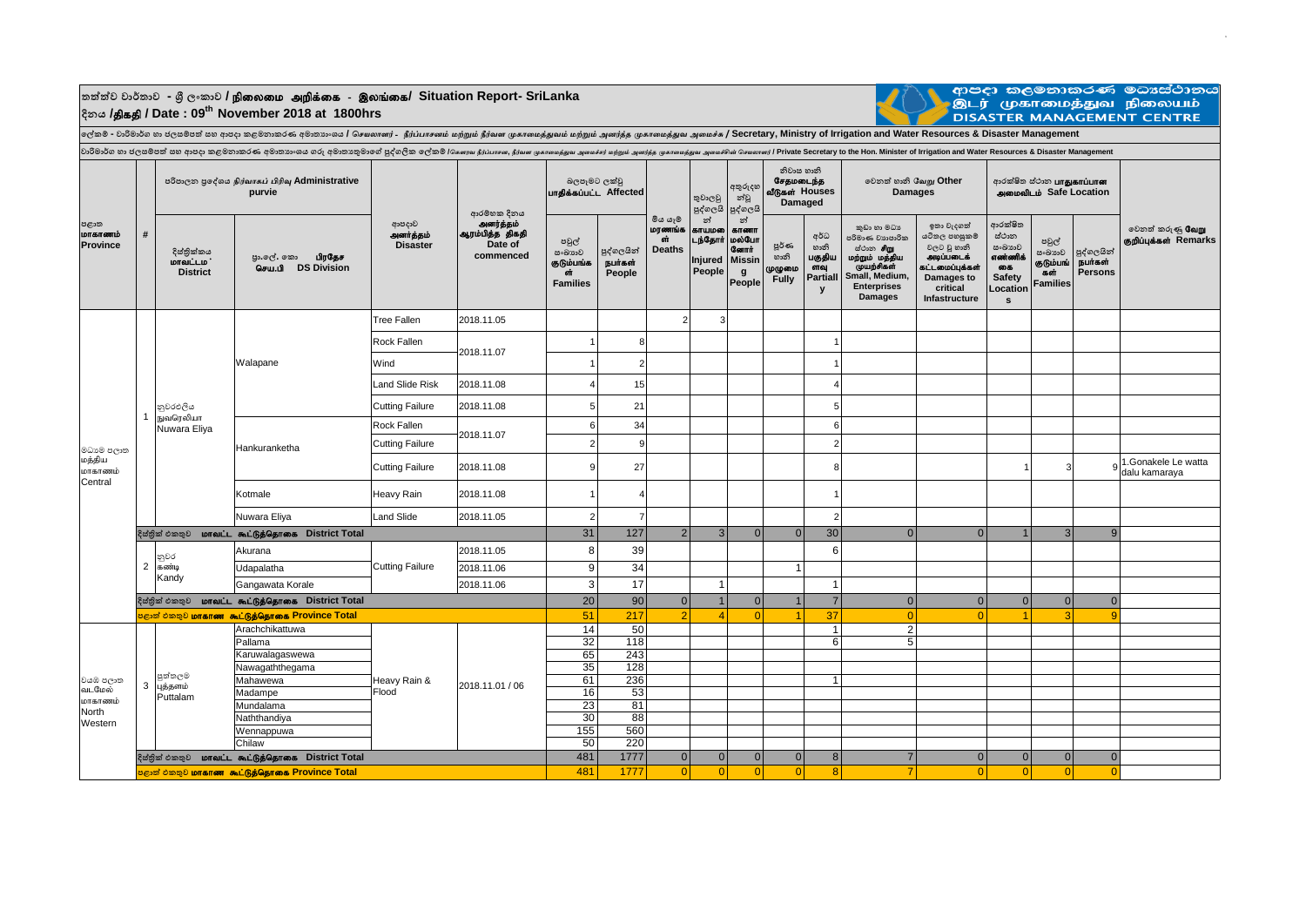$\frac{1}{2}$ තත්ත්ව වාර්තාව - ශූී ලංකාව **/ நிலைமை அறிக்கை - இலங்கை/ Situation Report- SriLanka දිනය /**jpfjp **/ Date : 09th November 2018 at 1800hrs**



ආපදා කලමනාකරණ මධාස්ථානය<br>.<br>DISASTER MANAGEMENT CENTRE

**ලේකම් - වාරිමාර්ග හා ජලසම්පත් සහ ආපදා කළමනාකරණ අමාතයාංශය /** *செயலாளர்* - *நீர்ப்பாெனம் மற்றும் நீர்வள முகாமமத்துவம் மற்றும் அனர்த்த முகாமமத்துவ அமமச்சு* **/ Secretary, Ministry of Irrigation and Water Resources & Disaster Management**

| පළාත<br>மாகாணம்<br>Province     | #                                                    |                                                                              | වාරිමාර්ග හා ජලසම්පත් සහ ආපදා කළමනාකරණ අමාතානයෙ ගරු අමාතාකුමාගේ පුද්ගලික ලේකම් /கௌவ நீர்ப்பான, நீர்வா முகாவத்துவ அமைச்சர் மறும் அனந்த முகாவத்தவ அமைச்சின் செயலாளர் Private Secretary to the Hon. Minister of Irrigation and W<br>පරිපාලන පුදේශය நிர்வாகப் பிரிவு Administrative<br>purvie | ආපදාව<br>அனர்த்தம்<br><b>Disaster</b> | ආරම්භක දිනය<br>அனர்த்தம்<br>ஆரம்பித்த திகதி<br>Date of<br>commenced | බලපෑමට ලක්වූ<br>பாதிக்கப்பட்ட Affected                 |                                 |                                          | තුවාලවූ                                                  | අතුරුදහ<br>න්වූ<br>පුද්ගලයි                                                | නිවාස හානි<br>சேதமடைந்த<br>வீடுகள் Houses<br>Damaged |                                                                  | වෙනත් හානි வேறு Other<br><b>Damages</b>                                                                                                      |                                                                                                                        | ආරක්ෂිත ස්ථාන <b>பாதுகாப்பான</b><br>அமைவிடம் Safe Location                    |                                                        |                                  |                                                  |
|---------------------------------|------------------------------------------------------|------------------------------------------------------------------------------|-------------------------------------------------------------------------------------------------------------------------------------------------------------------------------------------------------------------------------------------------------------------------------------------|---------------------------------------|---------------------------------------------------------------------|--------------------------------------------------------|---------------------------------|------------------------------------------|----------------------------------------------------------|----------------------------------------------------------------------------|------------------------------------------------------|------------------------------------------------------------------|----------------------------------------------------------------------------------------------------------------------------------------------|------------------------------------------------------------------------------------------------------------------------|-------------------------------------------------------------------------------|--------------------------------------------------------|----------------------------------|--------------------------------------------------|
|                                 |                                                      | දිස්තික්කය<br><b>மாவட்டம</b> ்<br><b>District</b>                            | பிரதேச<br>පුා.ලල්. කො<br><b>DS Division</b><br>செய.பி                                                                                                                                                                                                                                     |                                       |                                                                     | පවුල්<br>සංඛාාව<br>குடும்பங்க<br>GŤ<br><b>Families</b> | පුද්ගලයින්<br>நபர்கள்<br>People | මිය යෑම<br>மரணங்க<br>ch<br><b>Deaths</b> | පුද්ගලයි<br>න්<br>காயமலை<br>டந்தோர்<br>Injured<br>People | න්<br><b>&amp;T6011</b><br>மல்போ<br><b>Селпіт</b><br>Missin<br>g<br>People | පූර්ණ<br>හානි<br>முழுமை<br><b>Fully</b>              | අර්ධ<br>හානි<br>பகுதிய<br>ளவு<br><b>Partiall</b><br>$\mathbf{y}$ | කුඩා හා මධා<br>පරිමාණ වාහපාරික<br>ස්ථාන <b>சிm</b><br>மற்றும் மத்திய<br>முயற்சிகள்<br>Small, Medium,<br><b>Enterprises</b><br><b>Damages</b> | ඉතා වැදගත්<br>යටිතල පහසුකම්<br>වලට වූ හානි<br>அடிப்படைக்<br>கட்டமைப்புக்கள்<br>Damages to<br>critical<br>Infastructure | ආරක්ෂිත<br>ස්ථාන<br>සංඛානව<br>எண்ணிக்<br>கை<br><b>Safety</b><br>Location<br>s | පවුල්<br>සංඛාගව<br>குடும்பங்<br>கள்<br><b>Families</b> | පුද්ගලයින්<br>நபர்கள்<br>Persons | වෙනත් කරුණු <b>வேறு</b><br>குறிப்புக்கள் Remarks |
|                                 |                                                      |                                                                              |                                                                                                                                                                                                                                                                                           | <b>Tree Fallen</b>                    | 2018.11.05                                                          |                                                        |                                 | $\overline{2}$                           | 3                                                        |                                                                            |                                                      |                                                                  |                                                                                                                                              |                                                                                                                        |                                                                               |                                                        |                                  |                                                  |
|                                 |                                                      |                                                                              |                                                                                                                                                                                                                                                                                           | Rock Fallen                           | 2018.11.07                                                          |                                                        | 8                               |                                          |                                                          |                                                                            |                                                      |                                                                  |                                                                                                                                              |                                                                                                                        |                                                                               |                                                        |                                  |                                                  |
|                                 |                                                      |                                                                              | Walapane                                                                                                                                                                                                                                                                                  | Wind                                  |                                                                     |                                                        | $\overline{2}$                  |                                          |                                                          |                                                                            |                                                      |                                                                  |                                                                                                                                              |                                                                                                                        |                                                                               |                                                        |                                  |                                                  |
|                                 |                                                      | නුවරඑලිය<br>நுவரெலியா<br>Nuwara Eliya                                        |                                                                                                                                                                                                                                                                                           | <b>Land Slide Risk</b>                | 2018.11.08                                                          |                                                        | 15                              |                                          |                                                          |                                                                            |                                                      |                                                                  |                                                                                                                                              |                                                                                                                        |                                                                               |                                                        |                                  |                                                  |
| මධාාම පලාත<br>மத்திய<br>மாகாணம் |                                                      |                                                                              |                                                                                                                                                                                                                                                                                           | <b>Cutting Failure</b>                | 2018.11.08                                                          |                                                        | 21                              |                                          |                                                          |                                                                            |                                                      |                                                                  |                                                                                                                                              |                                                                                                                        |                                                                               |                                                        |                                  |                                                  |
|                                 |                                                      |                                                                              |                                                                                                                                                                                                                                                                                           | Rock Fallen                           | 2018.11.07                                                          | 6                                                      | 34                              |                                          |                                                          |                                                                            |                                                      | Е                                                                |                                                                                                                                              |                                                                                                                        |                                                                               |                                                        |                                  |                                                  |
|                                 |                                                      |                                                                              | Hankuranketha                                                                                                                                                                                                                                                                             | <b>Cutting Failure</b>                |                                                                     | $\mathcal{P}$                                          | $\mathbf{Q}$                    |                                          |                                                          |                                                                            |                                                      | 2                                                                |                                                                                                                                              |                                                                                                                        |                                                                               |                                                        |                                  |                                                  |
|                                 |                                                      |                                                                              |                                                                                                                                                                                                                                                                                           | <b>Cutting Failure</b>                | 2018.11.08                                                          | $\mathbf{q}$                                           | 27                              |                                          |                                                          |                                                                            |                                                      | ۶                                                                |                                                                                                                                              |                                                                                                                        |                                                                               | 3                                                      |                                  | 1.Gonakele Le watta<br>dalu kamaraya             |
| Central                         |                                                      |                                                                              | Kotmale                                                                                                                                                                                                                                                                                   | Heavy Rain                            | 2018.11.08                                                          |                                                        |                                 |                                          |                                                          |                                                                            |                                                      |                                                                  |                                                                                                                                              |                                                                                                                        |                                                                               |                                                        |                                  |                                                  |
|                                 |                                                      |                                                                              | Nuwara Eliya                                                                                                                                                                                                                                                                              | <b>Land Slide</b>                     | 2018.11.05                                                          | $\overline{2}$                                         |                                 |                                          |                                                          |                                                                            |                                                      | 2                                                                |                                                                                                                                              |                                                                                                                        |                                                                               |                                                        |                                  |                                                  |
|                                 | மாவட்ட கூட்டுத்தொகை District Total<br>දිස්තික් එකතුව |                                                                              |                                                                                                                                                                                                                                                                                           |                                       |                                                                     |                                                        | 31<br>127                       | $\overline{2}$                           | $\overline{3}$                                           | $\overline{0}$                                                             | 0                                                    | 30                                                               | $\overline{0}$                                                                                                                               | 0                                                                                                                      |                                                                               | $\overline{3}$                                         | 9                                |                                                  |
|                                 |                                                      | නුවර                                                                         | Akurana                                                                                                                                                                                                                                                                                   | <b>Cutting Failure</b>                | 2018.11.05                                                          | 8                                                      | 39                              |                                          |                                                          |                                                                            |                                                      | 6                                                                |                                                                                                                                              |                                                                                                                        |                                                                               |                                                        |                                  |                                                  |
|                                 |                                                      | 2 $\overline{a}$ $\overline{a}$ $\overline{b}$ $\overline{a}$ $\overline{b}$ | Udapalatha                                                                                                                                                                                                                                                                                |                                       | 2018.11.06                                                          | $\boldsymbol{9}$                                       | 34                              |                                          |                                                          |                                                                            | $\mathbf{1}$                                         |                                                                  |                                                                                                                                              |                                                                                                                        |                                                                               |                                                        |                                  |                                                  |
|                                 |                                                      | Kandy                                                                        | Gangawata Korale                                                                                                                                                                                                                                                                          |                                       | 2018.11.06                                                          | $\mathbf{3}$                                           | 17                              |                                          |                                                          |                                                                            |                                                      |                                                                  |                                                                                                                                              |                                                                                                                        |                                                                               |                                                        |                                  |                                                  |
|                                 |                                                      | மாவட்ட கூட்டுத்தொகை District Total<br>දිස්තික් එකතුව                         |                                                                                                                                                                                                                                                                                           |                                       |                                                                     |                                                        | 20<br>90                        | $\Omega$                                 |                                                          | $\Omega$                                                                   | $\mathbf{1}$                                         |                                                                  | $\overline{0}$                                                                                                                               | 0                                                                                                                      | $\overline{0}$                                                                | $\overline{0}$                                         | $\Omega$                         |                                                  |
|                                 |                                                      | <mark>පළාත් එකතුව <b>மாகாண</b> கூட்டுத்தொகை Province Total</mark>            | 51                                                                                                                                                                                                                                                                                        | 217                                   | $\overline{2}$                                                      |                                                        | $\Omega$                        |                                          | 37                                                       | $\overline{0}$                                                             | $\Omega$                                             |                                                                  | $\overline{3}$                                                                                                                               | $\mathbf{q}$                                                                                                           |                                                                               |                                                        |                                  |                                                  |
|                                 |                                                      |                                                                              | Arachchikattuwa                                                                                                                                                                                                                                                                           |                                       |                                                                     | 14                                                     | 50                              |                                          |                                                          |                                                                            |                                                      | -1                                                               | $\overline{c}$                                                                                                                               |                                                                                                                        |                                                                               |                                                        |                                  |                                                  |
|                                 |                                                      |                                                                              | Pallama                                                                                                                                                                                                                                                                                   |                                       |                                                                     | 32                                                     | 118                             |                                          |                                                          |                                                                            |                                                      | 6                                                                | 5                                                                                                                                            |                                                                                                                        |                                                                               |                                                        |                                  |                                                  |
|                                 |                                                      |                                                                              | Karuwalagaswewa                                                                                                                                                                                                                                                                           |                                       |                                                                     | 65                                                     | 243                             |                                          |                                                          |                                                                            |                                                      |                                                                  |                                                                                                                                              |                                                                                                                        |                                                                               |                                                        |                                  |                                                  |
|                                 |                                                      | පුත්තලම                                                                      | Nawagaththegama                                                                                                                                                                                                                                                                           |                                       |                                                                     | 35                                                     | 128                             |                                          |                                                          |                                                                            |                                                      |                                                                  |                                                                                                                                              |                                                                                                                        |                                                                               |                                                        |                                  |                                                  |
| වයඹ පලාත<br>வடமேல்              | 3                                                    | புத்தளம்                                                                     | Mahawewa                                                                                                                                                                                                                                                                                  | Heavy Rain &<br>Flood                 | 2018.11.01 / 06                                                     | 61                                                     | 236                             |                                          |                                                          |                                                                            |                                                      | $\overline{\mathbf{1}}$                                          |                                                                                                                                              |                                                                                                                        |                                                                               |                                                        |                                  |                                                  |
| மாகாணம்                         |                                                      | Puttalam                                                                     | Madampe                                                                                                                                                                                                                                                                                   |                                       |                                                                     | 16                                                     | 53                              |                                          |                                                          |                                                                            |                                                      |                                                                  |                                                                                                                                              |                                                                                                                        |                                                                               |                                                        |                                  |                                                  |
| North                           |                                                      |                                                                              | Mundalama                                                                                                                                                                                                                                                                                 |                                       |                                                                     | 23<br>30                                               | 81<br>88                        |                                          |                                                          |                                                                            |                                                      |                                                                  |                                                                                                                                              |                                                                                                                        |                                                                               |                                                        |                                  |                                                  |
| Western                         |                                                      |                                                                              | Naththandiya                                                                                                                                                                                                                                                                              |                                       |                                                                     | 155                                                    | 560                             |                                          |                                                          |                                                                            |                                                      |                                                                  |                                                                                                                                              |                                                                                                                        |                                                                               |                                                        |                                  |                                                  |
|                                 |                                                      |                                                                              | Wennappuwa<br>Chilaw                                                                                                                                                                                                                                                                      |                                       |                                                                     | 50                                                     | 220                             |                                          |                                                          |                                                                            |                                                      |                                                                  |                                                                                                                                              |                                                                                                                        |                                                                               |                                                        |                                  |                                                  |
|                                 |                                                      |                                                                              |                                                                                                                                                                                                                                                                                           |                                       |                                                                     |                                                        |                                 |                                          |                                                          |                                                                            |                                                      |                                                                  |                                                                                                                                              |                                                                                                                        |                                                                               |                                                        |                                  |                                                  |
|                                 |                                                      |                                                                              | දිස්තික් එකතුව <b>மாவட்ட கூட்டுத்தொகை District Total</b>                                                                                                                                                                                                                                  |                                       |                                                                     | 481                                                    | 1777                            | 0                                        | $\overline{0}$                                           | $\overline{0}$                                                             | 0                                                    | 8                                                                | $\overline{7}$                                                                                                                               | 0                                                                                                                      | 0                                                                             | 0                                                      | $\Omega$                         |                                                  |
|                                 |                                                      | <mark>පළාත් එකතුව <b>மாகாண</b>  கூட்டுத்தொகை Province Total</mark>           | 481                                                                                                                                                                                                                                                                                       | 1777                                  | $\Omega$                                                            | $\Omega$                                               | $\Omega$                        | $\Omega$                                 | $\mathbf{R}$                                             | $\overline{7}$                                                             | $\Omega$                                             | $\Omega$                                                         | $\Omega$                                                                                                                                     | $\Omega$                                                                                                               |                                                                               |                                                        |                                  |                                                  |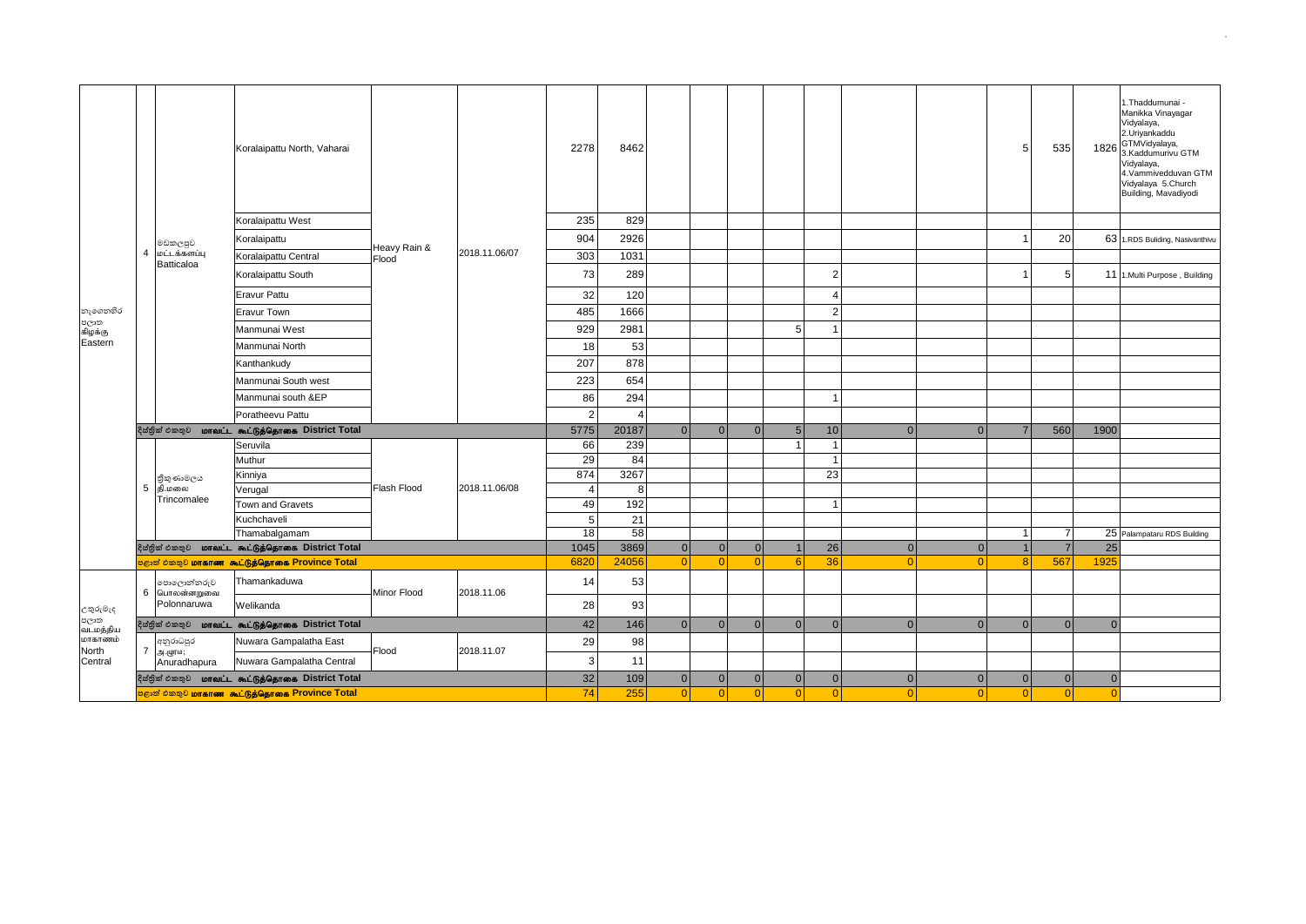|                                                             |                                                            |                                                                                                                               | Koralaipattu North, Vaharai                              |              | 2018.11.06/07 | 2278           | 8462  |                |          |                |                |                |          |                | $5 \,$         | 535            |                | 1. Thaddumunai -<br>Manikka Vinayagar<br>Vidyalaya,<br>2.Uriyankaddu<br>1826 GTMVidyalaya,<br>3.Kaddumurivu GTM<br>Vidyalaya,<br>4.Vammivedduvan GTM<br>Vidyalaya 5.Church<br>Building, Mavadiyodi |
|-------------------------------------------------------------|------------------------------------------------------------|-------------------------------------------------------------------------------------------------------------------------------|----------------------------------------------------------|--------------|---------------|----------------|-------|----------------|----------|----------------|----------------|----------------|----------|----------------|----------------|----------------|----------------|----------------------------------------------------------------------------------------------------------------------------------------------------------------------------------------------------|
|                                                             |                                                            |                                                                                                                               | Koralaipattu West                                        |              |               | 235            | 829   |                |          |                |                |                |          |                |                |                |                |                                                                                                                                                                                                    |
|                                                             |                                                            | මඩකලපුව                                                                                                                       | Koralaipattu                                             | Heavy Rain & |               | 904            | 2926  |                |          |                |                |                |          |                |                | 20             |                | 63 1.RDS Buliding, Nasivanthivu                                                                                                                                                                    |
|                                                             | $\overline{4}$                                             | மட்டக்களப்பு<br>Batticaloa                                                                                                    | Koralaipattu Central                                     | Flood        |               | 303            | 1031  |                |          |                |                |                |          |                |                |                |                |                                                                                                                                                                                                    |
|                                                             |                                                            |                                                                                                                               | Koralaipattu South                                       |              |               | 73             | 289   |                |          |                |                | $\overline{2}$ |          |                |                | 5              |                | 11 1.Multi Purpose, Building                                                                                                                                                                       |
|                                                             |                                                            |                                                                                                                               | <b>Eravur Pattu</b>                                      |              |               | 32             | 120   |                |          |                |                | $\overline{4}$ |          |                |                |                |                |                                                                                                                                                                                                    |
| නැගෙනහිර                                                    |                                                            |                                                                                                                               | Eravur Town                                              |              |               | 485            | 1666  |                |          |                |                | $\overline{2}$ |          |                |                |                |                |                                                                                                                                                                                                    |
| පලාත<br>கிழக்கு                                             |                                                            |                                                                                                                               | Manmunai West                                            |              |               | 929            | 2981  |                |          |                | 5              |                |          |                |                |                |                |                                                                                                                                                                                                    |
| Eastern                                                     |                                                            |                                                                                                                               | Manmunai North                                           |              |               | 18             | 53    |                |          |                |                |                |          |                |                |                |                |                                                                                                                                                                                                    |
|                                                             |                                                            |                                                                                                                               | Kanthankudy                                              |              |               | 207            | 878   |                |          |                |                |                |          |                |                |                |                |                                                                                                                                                                                                    |
|                                                             |                                                            |                                                                                                                               | Manmunai South west                                      |              |               | 223            | 654   |                |          |                |                |                |          |                |                |                |                |                                                                                                                                                                                                    |
|                                                             |                                                            |                                                                                                                               | Manmunai south &EP                                       |              |               | 86             | 294   |                |          |                |                | $\mathbf 1$    |          |                |                |                |                |                                                                                                                                                                                                    |
|                                                             |                                                            |                                                                                                                               | Poratheevu Pattu                                         |              |               | $\overline{2}$ |       |                |          |                |                |                |          |                |                |                |                |                                                                                                                                                                                                    |
|                                                             |                                                            |                                                                                                                               | දිස්තික් එකතුව <b>மாவட்ட கூட்டுத்தொகை District Total</b> |              |               | 5775           | 20187 | $\overline{0}$ | 0        | $\Omega$       | 5 <sub>1</sub> | 10             | $\Omega$ | $\overline{0}$ | 7 <sup>1</sup> | 560            | 1900           |                                                                                                                                                                                                    |
|                                                             |                                                            | තිකුණාමලය<br>தி.மலை<br>Trincomalee                                                                                            | Seruvila                                                 | Flash Flood  |               | 66             | 239   |                |          |                | $\overline{1}$ | $\overline{1}$ |          |                |                |                |                |                                                                                                                                                                                                    |
|                                                             |                                                            |                                                                                                                               | Muthur                                                   |              |               | 29             | 84    |                |          |                |                | $\mathbf{1}$   |          |                |                |                |                |                                                                                                                                                                                                    |
|                                                             |                                                            |                                                                                                                               | Kinniya                                                  |              |               | 874            | 3267  |                |          |                |                | 23             |          |                |                |                |                |                                                                                                                                                                                                    |
|                                                             | 5                                                          |                                                                                                                               | Verugal                                                  |              | 2018.11.06/08 | $\overline{4}$ | 8     |                |          |                |                |                |          |                |                |                |                |                                                                                                                                                                                                    |
|                                                             |                                                            |                                                                                                                               | Town and Gravets                                         |              |               | 49             | 192   |                |          |                |                | $\mathbf{1}$   |          |                |                |                |                |                                                                                                                                                                                                    |
|                                                             |                                                            |                                                                                                                               | Kuchchaveli                                              |              |               | $\sqrt{5}$     | 21    |                |          |                |                |                |          |                |                |                |                |                                                                                                                                                                                                    |
|                                                             |                                                            |                                                                                                                               | Thamabalgamam                                            |              |               | 18<br>1045     | 58    |                |          |                |                |                |          |                | $\overline{1}$ | $\overline{7}$ |                | 25 Palampataru RDS Building                                                                                                                                                                        |
|                                                             |                                                            | දිස්තික් එකතුව <b>மாவட்ட கூட்டுத்தொகை District Total</b><br><mark>පළාත් එකතුව <b>மாகாண</b> கூட்டுத்தொகை Province Total</mark> |                                                          |              |               |                | 3869  | $\overline{0}$ | 0        | 0 <br>$\Omega$ |                | 26             | $\Omega$ | $\overline{0}$ | 1              | $\overline{7}$ | 25             |                                                                                                                                                                                                    |
|                                                             |                                                            |                                                                                                                               |                                                          |              |               | 6820           | 24056 | $\Omega$       | $\Omega$ |                | 6              | 36             | $\Omega$ | $\Omega$       | 8 <sup>1</sup> | 567            | 1925           |                                                                                                                                                                                                    |
| උතුරුමැද<br>පලාක<br>வடமத்திய<br>மாகாணம்<br>North<br>Central |                                                            | පොලොන්නරුව<br>6 பொலன்னறுவை                                                                                                    | Thamankaduwa                                             | Minor Flood  | 2018.11.06    | 14             | 53    |                |          |                |                |                |          |                |                |                |                |                                                                                                                                                                                                    |
|                                                             |                                                            | Polonnaruwa                                                                                                                   | Welikanda                                                |              |               | 28             | 93    |                |          |                |                |                |          |                |                |                |                |                                                                                                                                                                                                    |
|                                                             |                                                            |                                                                                                                               | දිස්තික් එකතුව <b>மாவட்ட கூட்டுத்தொகை District Total</b> |              |               | 42             | 146   | $\overline{0}$ | 0        | 0              | 0              | $\overline{0}$ | $\Omega$ | 0              | $\Omega$       | $\overline{0}$ | $\overline{0}$ |                                                                                                                                                                                                    |
|                                                             |                                                            | අනුරාධපුර<br>7 அ.முரம;                                                                                                        | Nuwara Gampalatha East                                   | Flood        | 2018.11.07    | 29             | 98    |                |          |                |                |                |          |                |                |                |                |                                                                                                                                                                                                    |
|                                                             |                                                            | Anuradhapura                                                                                                                  | Nuwara Gampalatha Central                                |              |               | $\mathbf{3}$   | 11    |                |          |                |                |                |          |                |                |                |                |                                                                                                                                                                                                    |
|                                                             |                                                            | දිස්තික් එකතුව <b>மாவட்ட கூட்டுத்தொகை District Total</b>                                                                      |                                                          |              |               |                | 109   | 0              | 0        | 0              | 0              | $\overline{0}$ | 0        | 0              | 0              | 0              | $\overline{0}$ |                                                                                                                                                                                                    |
|                                                             | <mark>පළාත් එකතුව மாகாண கூட்டுத்தொகை Province Total</mark> |                                                                                                                               |                                                          |              |               | 74             | 255   | $\overline{0}$ | 0        | 0              | 0              | $\overline{0}$ | 0        | 0              | 0              | 0              | $\overline{0}$ |                                                                                                                                                                                                    |

3